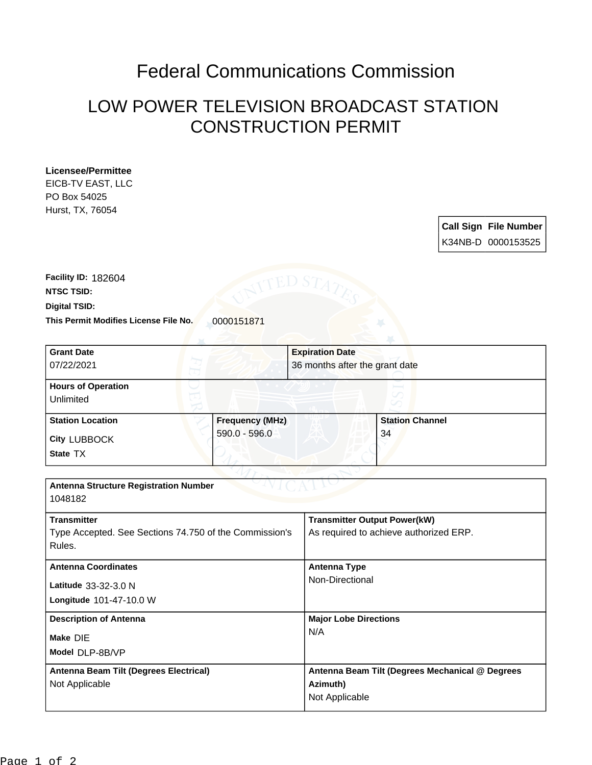## Federal Communications Commission

## LOW POWER TELEVISION BROADCAST STATION CONSTRUCTION PERMIT

## **Licensee/Permittee**

EICB-TV EAST, LLC PO Box 54025 Hurst, TX, 76054

| <b>Call Sign File Number</b> |
|------------------------------|
| K34NB-D 0000153525           |

**This Permit Modifies License File No.** 0000151871 **Digital TSID: NTSC TSID: Facility ID:** 182604

| <b>Grant Date</b>                                      |                 | <b>Expiration Date</b> |                                                 |  |
|--------------------------------------------------------|-----------------|------------------------|-------------------------------------------------|--|
| 07/22/2021                                             |                 |                        | 36 months after the grant date                  |  |
| <b>Hours of Operation</b>                              |                 |                        |                                                 |  |
| Unlimited                                              |                 |                        |                                                 |  |
| <b>Station Location</b>                                | Frequency (MHz) |                        | <b>Station Channel</b>                          |  |
| <b>City LUBBOCK</b>                                    | 590.0 - 596.0   |                        | 34                                              |  |
| State TX                                               |                 |                        |                                                 |  |
|                                                        |                 |                        |                                                 |  |
| <b>Antenna Structure Registration Number</b>           |                 |                        |                                                 |  |
| 1048182                                                |                 |                        |                                                 |  |
| <b>Transmitter</b>                                     |                 |                        | <b>Transmitter Output Power(kW)</b>             |  |
| Type Accepted. See Sections 74.750 of the Commission's |                 |                        | As required to achieve authorized ERP.          |  |
| Rules.                                                 |                 |                        |                                                 |  |
| <b>Antenna Coordinates</b>                             |                 | <b>Antenna Type</b>    |                                                 |  |
| Latitude 33-32-3.0 N                                   |                 |                        | Non-Directional                                 |  |
| Longitude 101-47-10.0 W                                |                 |                        |                                                 |  |
| <b>Description of Antenna</b>                          |                 |                        | <b>Major Lobe Directions</b>                    |  |
| Make DIE                                               |                 | N/A                    |                                                 |  |
| Model DLP-8B/VP                                        |                 |                        |                                                 |  |
| Antenna Beam Tilt (Degrees Electrical)                 |                 |                        | Antenna Beam Tilt (Degrees Mechanical @ Degrees |  |
| Not Applicable                                         |                 | Azimuth)               |                                                 |  |
|                                                        |                 | Not Applicable         |                                                 |  |